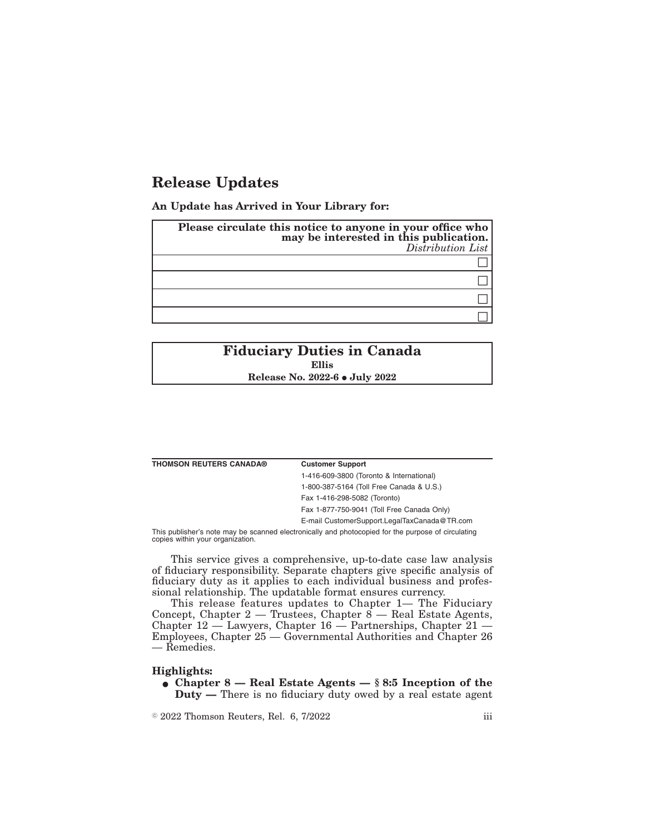## **Release Updates**

**An Update has Arrived in Your Library for:**

| Please circulate this notice to anyone in your office who<br>may be interested in this publication.<br>Distribution List |
|--------------------------------------------------------------------------------------------------------------------------|
|                                                                                                                          |
|                                                                                                                          |
|                                                                                                                          |
|                                                                                                                          |

## **Fiduciary Duties in Canada Ellis Release No. 2022-6 • July 2022**

| <b>THOMSON REUTERS CANADA®</b> | <b>Customer Support</b>                                                                            |
|--------------------------------|----------------------------------------------------------------------------------------------------|
|                                | 1-416-609-3800 (Toronto & International)                                                           |
|                                | 1-800-387-5164 (Toll Free Canada & U.S.)                                                           |
|                                | Fax 1-416-298-5082 (Toronto)                                                                       |
|                                | Fax 1-877-750-9041 (Toll Free Canada Only)                                                         |
|                                | E-mail CustomerSupport.LegalTaxCanada@TR.com                                                       |
|                                | This publisher's note may be connect cleatronically and photogoniad for the nurnees of girouleting |

This publisher's note may be scanned electronically and photocopied for the purpose of circulating copies within your organization.

This service gives a comprehensive, up-to-date case law analysis of fiduciary responsibility. Separate chapters give specific analysis of fiduciary duty as it applies to each individual business and professional relationship. The updatable format ensures currency.

This release features updates to Chapter 1— The Fiduciary Concept, Chapter  $2$  — Trustees, Chapter  $8$  — Real Estate Agents, Chapter 12 — Lawyers, Chapter 16 — Partnerships, Chapter 21 — Employees, Chapter 25 — Governmental Authorities and Chapter 26 — Remedies.

## **Highlights:**

• Chapter 8 — Real Estate Agents — § 8:5 Inception of the **Duty —** There is no fiduciary duty owed by a real estate agent

 $\degree$  2022 Thomson Reuters, Rel. 6, 7/2022 iii